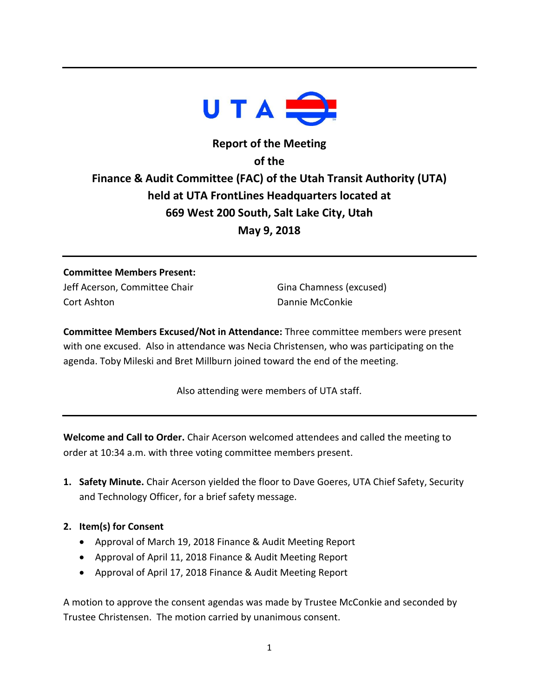

# **Report of the Meeting of the Finance & Audit Committee (FAC) of the Utah Transit Authority (UTA) held at UTA FrontLines Headquarters located at 669 West 200 South, Salt Lake City, Utah May 9, 2018**

# **Committee Members Present:** Jeff Acerson, Committee Chair

Cort Ashton

Gina Chamness (excused) Dannie McConkie

**Committee Members Excused/Not in Attendance:** Three committee members were present with one excused. Also in attendance was Necia Christensen, who was participating on the agenda. Toby Mileski and Bret Millburn joined toward the end of the meeting.

Also attending were members of UTA staff.

**Welcome and Call to Order.** Chair Acerson welcomed attendees and called the meeting to order at 10:34 a.m. with three voting committee members present.

- **1. Safety Minute.** Chair Acerson yielded the floor to Dave Goeres, UTA Chief Safety, Security and Technology Officer, for a brief safety message.
- **2. Item(s) for Consent**
	- Approval of March 19, 2018 Finance & Audit Meeting Report
	- Approval of April 11, 2018 Finance & Audit Meeting Report
	- Approval of April 17, 2018 Finance & Audit Meeting Report

A motion to approve the consent agendas was made by Trustee McConkie and seconded by Trustee Christensen. The motion carried by unanimous consent.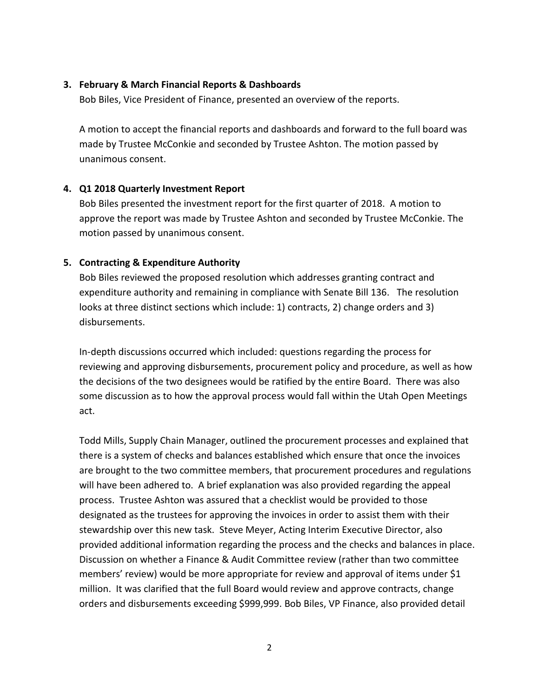#### **3. February & March Financial Reports & Dashboards**

Bob Biles, Vice President of Finance, presented an overview of the reports.

A motion to accept the financial reports and dashboards and forward to the full board was made by Trustee McConkie and seconded by Trustee Ashton. The motion passed by unanimous consent.

#### **4. Q1 2018 Quarterly Investment Report**

Bob Biles presented the investment report for the first quarter of 2018. A motion to approve the report was made by Trustee Ashton and seconded by Trustee McConkie. The motion passed by unanimous consent.

#### **5. Contracting & Expenditure Authority**

Bob Biles reviewed the proposed resolution which addresses granting contract and expenditure authority and remaining in compliance with Senate Bill 136. The resolution looks at three distinct sections which include: 1) contracts, 2) change orders and 3) disbursements.

In-depth discussions occurred which included: questions regarding the process for reviewing and approving disbursements, procurement policy and procedure, as well as how the decisions of the two designees would be ratified by the entire Board. There was also some discussion as to how the approval process would fall within the Utah Open Meetings act.

Todd Mills, Supply Chain Manager, outlined the procurement processes and explained that there is a system of checks and balances established which ensure that once the invoices are brought to the two committee members, that procurement procedures and regulations will have been adhered to. A brief explanation was also provided regarding the appeal process. Trustee Ashton was assured that a checklist would be provided to those designated as the trustees for approving the invoices in order to assist them with their stewardship over this new task. Steve Meyer, Acting Interim Executive Director, also provided additional information regarding the process and the checks and balances in place. Discussion on whether a Finance & Audit Committee review (rather than two committee members' review) would be more appropriate for review and approval of items under \$1 million. It was clarified that the full Board would review and approve contracts, change orders and disbursements exceeding \$999,999. Bob Biles, VP Finance, also provided detail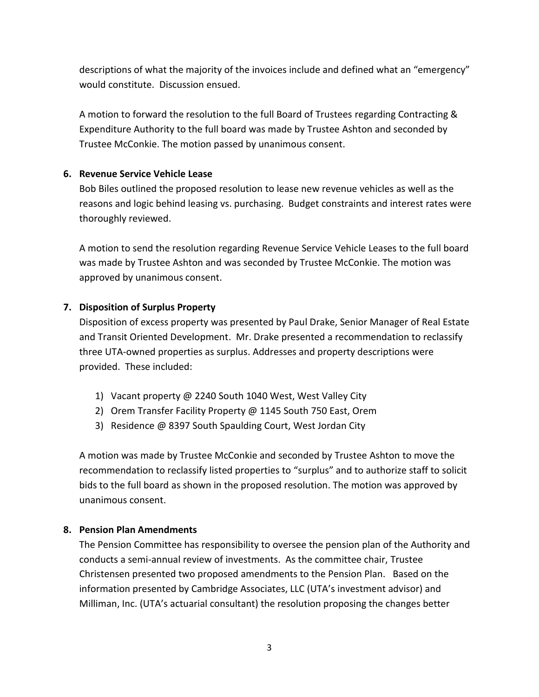descriptions of what the majority of the invoices include and defined what an "emergency" would constitute. Discussion ensued.

A motion to forward the resolution to the full Board of Trustees regarding Contracting & Expenditure Authority to the full board was made by Trustee Ashton and seconded by Trustee McConkie. The motion passed by unanimous consent.

#### **6. Revenue Service Vehicle Lease**

Bob Biles outlined the proposed resolution to lease new revenue vehicles as well as the reasons and logic behind leasing vs. purchasing. Budget constraints and interest rates were thoroughly reviewed.

A motion to send the resolution regarding Revenue Service Vehicle Leases to the full board was made by Trustee Ashton and was seconded by Trustee McConkie. The motion was approved by unanimous consent.

### **7. Disposition of Surplus Property**

Disposition of excess property was presented by Paul Drake, Senior Manager of Real Estate and Transit Oriented Development. Mr. Drake presented a recommendation to reclassify three UTA-owned properties as surplus. Addresses and property descriptions were provided. These included:

- 1) Vacant property @ 2240 South 1040 West, West Valley City
- 2) Orem Transfer Facility Property @ 1145 South 750 East, Orem
- 3) Residence @ 8397 South Spaulding Court, West Jordan City

A motion was made by Trustee McConkie and seconded by Trustee Ashton to move the recommendation to reclassify listed properties to "surplus" and to authorize staff to solicit bids to the full board as shown in the proposed resolution. The motion was approved by unanimous consent.

## **8. Pension Plan Amendments**

The Pension Committee has responsibility to oversee the pension plan of the Authority and conducts a semi-annual review of investments. As the committee chair, Trustee Christensen presented two proposed amendments to the Pension Plan. Based on the information presented by Cambridge Associates, LLC (UTA's investment advisor) and Milliman, Inc. (UTA's actuarial consultant) the resolution proposing the changes better